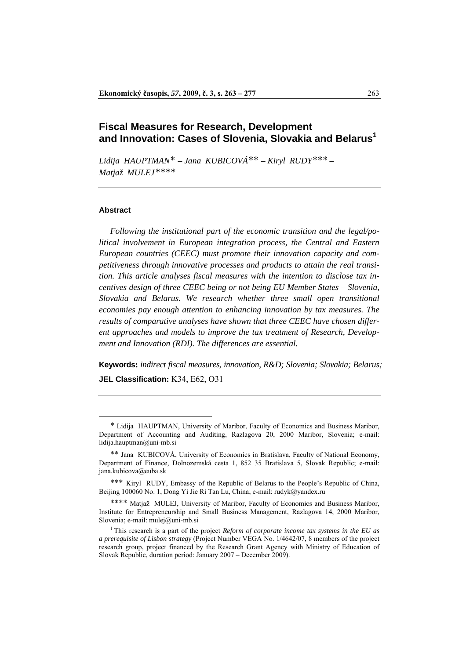# **Fiscal Measures for Research, Development and Innovation: Cases of Slovenia, Slovakia and Belarus1**

*Lidija HAUPTMAN*[\\*](#page-0-0) *– Jana KUBICOVÁ*[\\*\\*](#page-0-1) *– Kiryl RUDY*[\\*\\*\\*](#page-0-2) *– Matjaž MULEJ[\\*\\*\\*\\*](#page-0-3)*[1](#page-0-4)

#### **Abstract**

 $\overline{a}$ 

 *Following the institutional part of the economic transition and the legal/political involvement in European integration process, the Central and Eastern European countries (CEEC) must promote their innovation capacity and competitiveness through innovative processes and products to attain the real transition. This article analyses fiscal measures with the intention to disclose tax incentives design of three CEEC being or not being EU Member States – Slovenia, Slovakia and Belarus. We research whether three small open transitional economies pay enough attention to enhancing innovation by tax measures. The results of comparative analyses have shown that three CEEC have chosen different approaches and models to improve the tax treatment of Research, Development and Innovation (RDI). The differences are essential.* 

**Keywords:** *indirect fiscal measures, innovation, R&D; Slovenia; Slovakia; Belarus;*  **[JEL](http://www.aeaweb.org/journal.html) Classification:** K34, E62, O31

<span id="page-0-0"></span><sup>\*</sup> Lidija HAUPTMAN, University of Maribor, Faculty of Economics and Business Maribor, Department of Accounting and Auditing, Razlagova 20, 2000 Maribor, Slovenia; e-mail: lidija.hauptman@uni-mb.si

<span id="page-0-1"></span><sup>\*\*</sup> Jana KUBICOVÁ, University of Economics in Bratislava, Faculty of National Economy, Department of Finance, Dolnozemská cesta 1, 852 35 Bratislava 5, Slovak Republic; e-mail: jana.kubicova@euba.sk

<span id="page-0-2"></span><sup>\*\*\*</sup> Kiryl RUDY, Embassy of the Republic of Belarus to the People's Republic of China, Beijing 100060 No. 1, Dong Yi Jie Ri Tan Lu, China; e-mail: [rudyk@yandex.ru](mailto:rudyk@yandex.ru)

<span id="page-0-3"></span><sup>\*\*\*\*</sup> Matiaž MULEJ, University of Maribor, Faculty of Economics and Business Maribor, Institute for Entrepreneurship and Small Business Management, Razlagova 14, 2000 Maribor, Slovenia: e-mail: [mulej@uni-mb.si](mailto:mulej@uni-mb.si)

<span id="page-0-4"></span><sup>1</sup> This research is a part of the project *Reform of corporate income tax systems in the EU as a prerequisite of Lisbon strategy* (Project Number VEGA No. 1/4642/07, 8 members of the project research group, project financed by the Research Grant Agency with Ministry of Education of Slovak Republic, duration period: January 2007 – December 2009).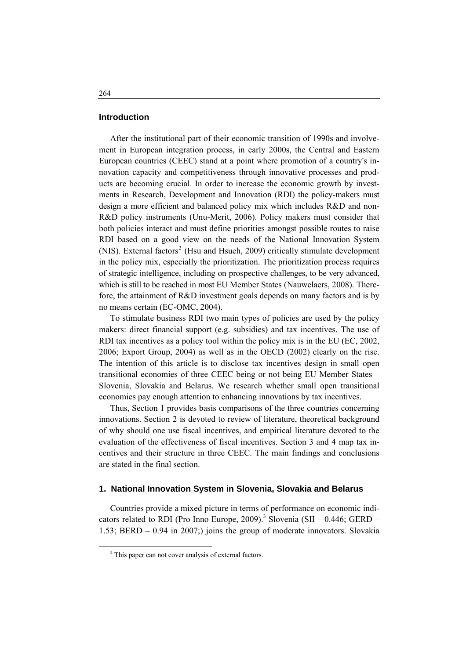## **Introduction**

 After the institutional part of their economic transition of 1990s and involvement in European integration process, in early 2000s, the Central and Eastern European countries (CEEC) stand at a point where promotion of a country's innovation capacity and competitiveness through innovative processes and products are becoming crucial. In order to increase the economic growth by investments in Research, Development and Innovation (RDI) the policy-makers must design a more efficient and balanced policy mix which includes R&D and non-R&D policy instruments (Unu-Merit, 2006). Policy makers must consider that both policies interact and must define priorities amongst possible routes to raise RDI based on a good view on the needs of the National Innovation System (NIS). External factors<sup>[2](#page-1-0)</sup> (Hsu and Hsueh, 2009) critically stimulate development in the policy mix, especially the prioritization. The prioritization process requires of strategic intelligence, including on prospective challenges, to be very advanced, which is still to be reached in most EU Member States (Nauwelaers, 2008). Therefore, the attainment of R&D investment goals depends on many factors and is by no means certain (EC-OMC, 2004).

 To stimulate business RDI two main types of policies are used by the policy makers: direct financial support (e.g. subsidies) and tax incentives. The use of RDI tax incentives as a policy tool within the policy mix is in the EU (EC, 2002, 2006; Export Group, 2004) as well as in the OECD (2002) clearly on the rise. The intention of this article is to disclose tax incentives design in small open transitional economies of three CEEC being or not being EU Member States – Slovenia, Slovakia and Belarus. We research whether small open transitional economies pay enough attention to enhancing innovations by tax incentives.

 Thus, Section 1 provides basis comparisons of the three countries concerning innovations. Section 2 is devoted to review of literature, theoretical background of why should one use fiscal incentives, and empirical literature devoted to the evaluation of the effectiveness of fiscal incentives. Section 3 and 4 map tax incentives and their structure in three CEEC. The main findings and conclusions are stated in the final section.

## **1. National Innovation System in Slovenia, Slovakia and Belarus**

 Countries provide a mixed picture in terms of performance on economic indicators related to RDI (Pro Inno Europe, 2009).<sup>3</sup> Slovenia (SII – 0.446; GERD – 1.53; BERD – 0.94 in 2007;) joins the group of moderate innovators. Slovakia

<span id="page-1-0"></span> <sup>2</sup>  $2$  This paper can not cover analysis of external factors.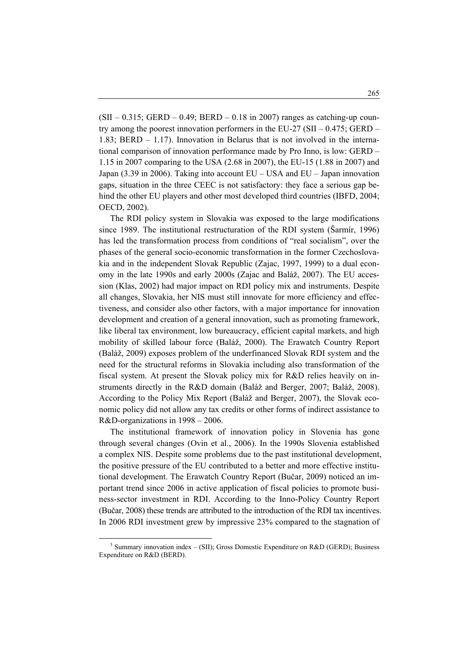$(SII - 0.315$ ; GERD – 0.49; BERD – 0.18 in 2007) ranges as catching-up country among the poorest innovation performers in the EU-27 (SII –  $0.475$ ; GERD – 1.83; BERD – 1.17). Innovation in Belarus that is not involved in the international comparison of innovation performance made by Pro Inno, is low: GERD – 1.15 in 2007 comparing to the USA (2.68 in 2007), the EU-15 (1.88 in 2007) and Japan (3.39 in 2006). Taking into account EU – USA and EU – Japan innovation gaps, situation in the three CEEC is not satisfactory: they face a serious gap behind the other EU players and other most developed third countries (IBFD, 2004; OECD, 2002).

 The RDI policy system in Slovakia was exposed to the large modifications since 1989. The institutional restructuration of the RDI system (Šarmír, 1996) has led the transformation process from conditions of "real socialism", over the phases of the general socio-economic transformation in the former Czechoslovakia and in the independent Slovak Republic (Zajac, 1997, 1999) to a dual economy in the late 1990s and early 2000s (Zajac and Baláž, 2007). The EU accession (Klas, 2002) had major impact on RDI policy mix and instruments. Despite all changes, Slovakia, her NIS must still innovate for more efficiency and effectiveness, and consider also other factors, with a major importance for innovation development and creation of a general innovation, such as promoting framework, like liberal tax environment, low bureaucracy, efficient capital markets, and high mobility of skilled labour force (Baláž, 2000). The Erawatch Country Report (Baláž, 2009) exposes problem of the underfinanced Slovak RDI system and the need for the structural reforms in Slovakia including also transformation of the fiscal system. At present the Slovak policy mix for R&D relies heavily on instruments directly in the R&D domain (Baláž and Berger, 2007; Baláž, 2008). According to the Policy Mix Report (Baláž and Berger, 2007), the Slovak economic policy did not allow any tax credits or other forms of indirect assistance to R&D-organizations in 1998 – 2006.

 The institutional framework of innovation policy in Slovenia has gone through several changes (Ovin et al., 2006). In the 1990s Slovenia established a complex NIS. Despite some problems due to the past institutional development, the positive pressure of the EU contributed to a better and more effective institutional development. The Erawatch Country Report (Bučar, 2009) noticed an important trend since 2006 in active application of fiscal policies to promote business-sector investment in RDI. According to the Inno-Policy Country Report (Bučar, 2008) these trends are attributed to the introduction of the RDI tax incentives. In 2006 RDI investment grew by impressive 23% compared to the stagnation of

<span id="page-2-0"></span> $\overline{\phantom{0}}$ <sup>3</sup> Summary innovation index – (SII); Gross Domestic Expenditure on R&D (GERD); Business Expenditure on R&D (BERD).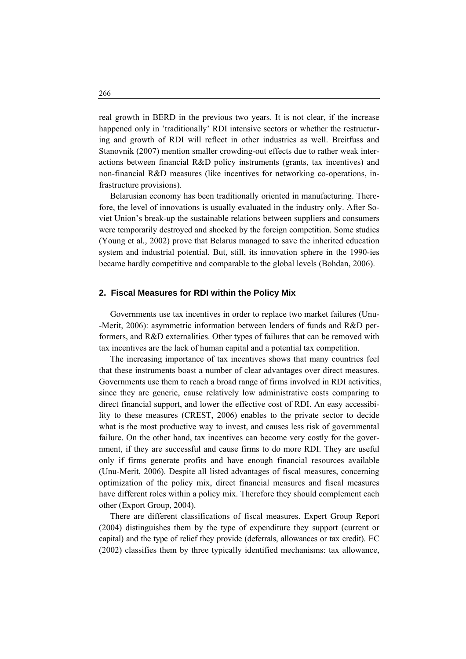real growth in BERD in the previous two years. It is not clear, if the increase happened only in 'traditionally' RDI intensive sectors or whether the restructuring and growth of RDI will reflect in other industries as well. Breitfuss and Stanovnik (2007) mention smaller crowding-out effects due to rather weak interactions between financial R&D policy instruments (grants, tax incentives) and non-financial R&D measures (like incentives for networking co-operations, infrastructure provisions).

 Belarusian economy has been traditionally oriented in manufacturing. Therefore, the level of innovations is usually evaluated in the industry only. After Soviet Union's break-up the sustainable relations between suppliers and consumers were temporarily destroyed and shocked by the foreign competition. Some studies (Young et al*.,* 2002) prove that Belarus managed to save the inherited education system and industrial potential. But, still, its innovation sphere in the 1990-ies became hardly competitive and comparable to the global levels (Bohdan, 2006).

#### **2. Fiscal Measures for RDI within the Policy Mix**

 Governments use tax incentives in order to replace two market failures (Unu- -Merit, 2006): asymmetric information between lenders of funds and R&D performers, and R&D externalities. Other types of failures that can be removed with tax incentives are the lack of human capital and a potential tax competition.

 The increasing importance of tax incentives shows that many countries feel that these instruments boast a number of clear advantages over direct measures. Governments use them to reach a broad range of firms involved in RDI activities, since they are generic, cause relatively low administrative costs comparing to direct financial support, and lower the effective cost of RDI. An easy accessibility to these measures (CREST, 2006) enables to the private sector to decide what is the most productive way to invest, and causes less risk of governmental failure. On the other hand, tax incentives can become very costly for the government, if they are successful and cause firms to do more RDI. They are useful only if firms generate profits and have enough financial resources available (Unu-Merit, 2006). Despite all listed advantages of fiscal measures, concerning optimization of the policy mix, direct financial measures and fiscal measures have different roles within a policy mix. Therefore they should complement each other (Export Group, 2004).

 There are different classifications of fiscal measures. Expert Group Report (2004) distinguishes them by the type of expenditure they support (current or capital) and the type of relief they provide (deferrals, allowances or tax credit). EC (2002) classifies them by three typically identified mechanisms: tax allowance,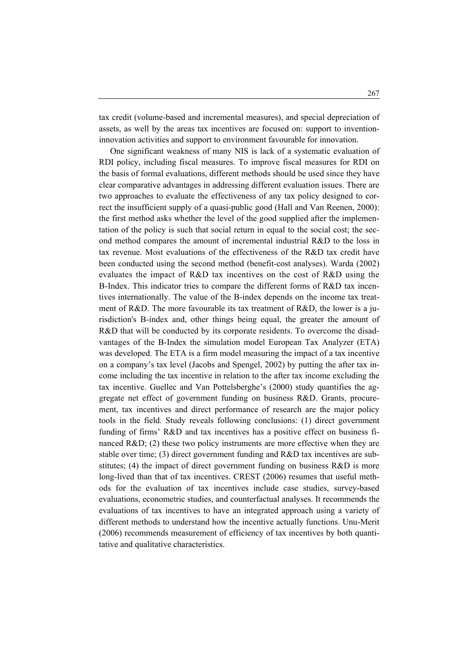tax credit (volume-based and incremental measures), and special depreciation of assets, as well by the areas tax incentives are focused on: support to inventioninnovation activities and support to environment favourable for innovation.

 One significant weakness of many NIS is lack of a systematic evaluation of RDI policy, including fiscal measures. To improve fiscal measures for RDI on the basis of formal evaluations, different methods should be used since they have clear comparative advantages in addressing different evaluation issues. There are two approaches to evaluate the effectiveness of any tax policy designed to correct the insufficient supply of a quasi-public good (Hall and Van Reenen, 2000): the first method asks whether the level of the good supplied after the implementation of the policy is such that social return in equal to the social cost; the second method compares the amount of incremental industrial R&D to the loss in tax revenue. Most evaluations of the effectiveness of the R&D tax credit have been conducted using the second method (benefit-cost analyses). Warda (2002) evaluates the impact of R&D tax incentives on the cost of R&D using the B-Index. This indicator tries to compare the different forms of R&D tax incentives internationally. The value of the B-index depends on the income tax treatment of R&D. The more favourable its tax treatment of R&D, the lower is a jurisdiction's B-index and, other things being equal, the greater the amount of R&D that will be conducted by its corporate residents. To overcome the disadvantages of the B-Index the simulation model European Tax Analyzer (ETA) was developed. The ETA is a firm model measuring the impact of a tax incentive on a company's tax level (Jacobs and Spengel, 2002) by putting the after tax income including the tax incentive in relation to the after tax income excluding the tax incentive. Guellec and Van Pottelsberghe's (2000) study quantifies the aggregate net effect of government funding on business R&D. Grants, procurement, tax incentives and direct performance of research are the major policy tools in the field. Study reveals following conclusions: (1) direct government funding of firms' R&D and tax incentives has a positive effect on business financed  $R&D$ ; (2) these two policy instruments are more effective when they are stable over time; (3) direct government funding and R&D tax incentives are substitutes; (4) the impact of direct government funding on business R&D is more long-lived than that of tax incentives. CREST (2006) resumes that useful methods for the evaluation of tax incentives include case studies, survey-based evaluations, econometric studies, and counterfactual analyses. It recommends the evaluations of tax incentives to have an integrated approach using a variety of different methods to understand how the incentive actually functions. Unu-Merit (2006) recommends measurement of efficiency of tax incentives by both quantitative and qualitative characteristics.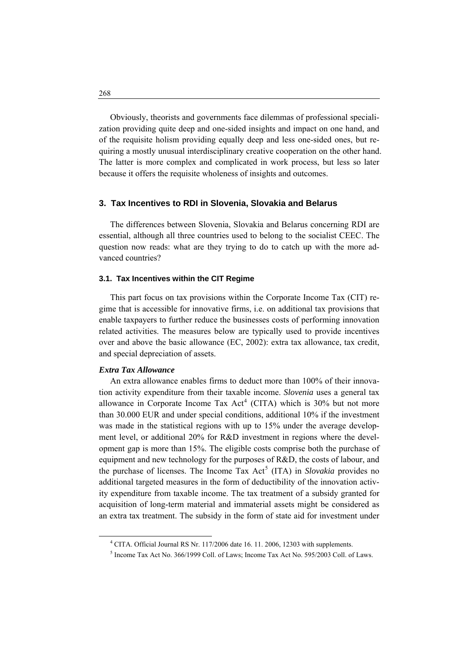Obviously, theorists and governments face dilemmas of professional specialization providing quite deep and one-sided insights and impact on one hand, and of the requisite holism providing equally deep and less one-sided ones, but requiring a mostly unusual interdisciplinary creative cooperation on the other hand. The latter is more complex and complicated in work process, but less so later because it offers the requisite wholeness of insights and outcomes.

## **3. Tax Incentives to RDI in Slovenia, Slovakia and Belarus**

 The differences between Slovenia, Slovakia and Belarus concerning RDI are essential, although all three countries used to belong to the socialist CEEC. The question now reads: what are they trying to do to catch up with the more advanced countries?

#### **3.1. Tax Incentives within the CIT Regime**

 This part focus on tax provisions within the Corporate Income Tax (CIT) regime that is accessible for innovative firms, i.e. on additional tax provisions that enable taxpayers to further reduce the businesses costs of performing innovation related activities. The measures below are typically used to provide incentives over and above the basic allowance (EC, 2002): extra tax allowance, tax credit, and special depreciation of assets.

### *Extra Tax Allowance*

 An extra allowance enables firms to deduct more than 100% of their innovation activity expenditure from their taxable income. *Slovenia* uses a general tax allowance in Corporate Income Tax Act<sup>[4](#page-5-0)</sup> (CITA) which is  $30\%$  but not more than 30.000 EUR and under special conditions, additional 10% if the investment was made in the statistical regions with up to 15% under the average development level, or additional 20% for R&D investment in regions where the development gap is more than 15%. The eligible costs comprise both the purchase of equipment and new technology for the purposes of R&D, the costs of labour, and the purchase of licenses. The Income Tax Act<sup>[5](#page-5-1)</sup> (ITA) in *Slovakia* provides no additional targeted measures in the form of deductibility of the innovation activity expenditure from taxable income. The tax treatment of a subsidy granted for acquisition of long-term material and immaterial assets might be considered as an extra tax treatment. The subsidy in the form of state aid for investment under

<span id="page-5-1"></span><span id="page-5-0"></span> <sup>4</sup> CITA. Official Journal RS Nr. 117/2006 date 16. 11. 2006, 12303 with supplements.

<sup>&</sup>lt;sup>5</sup> Income Tax Act No. 366/1999 Coll. of Laws; Income Tax Act No. 595/2003 Coll. of Laws.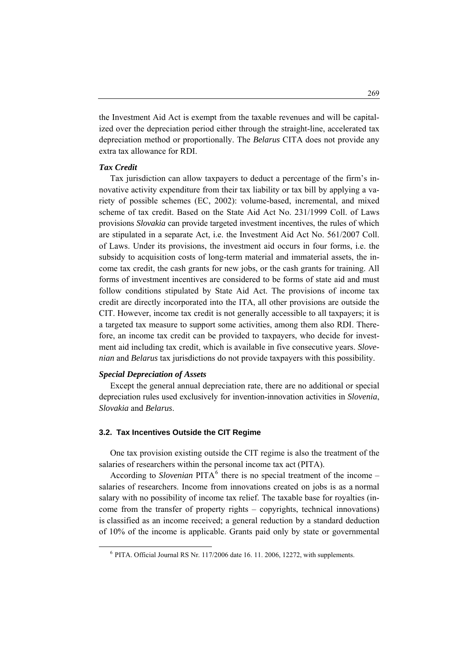the Investment Aid Act is exempt from the taxable revenues and will be capitalized over the depreciation period either through the straight-line, accelerated tax depreciation method or proportionally. The *Belarus* CITA does not provide any extra tax allowance for RDI.

## *Tax Credit*

 Tax jurisdiction can allow taxpayers to deduct a percentage of the firm's innovative activity expenditure from their tax liability or tax bill by applying a variety of possible schemes (EC, 2002): volume-based, incremental, and mixed scheme of tax credit. Based on the State Aid Act No. 231/1999 Coll. of Laws provisions *Slovakia* can provide targeted investment incentives, the rules of which are stipulated in a separate Act, i.e. the Investment Aid Act No. 561/2007 Coll. of Laws. Under its provisions, the investment aid occurs in four forms, i.e. the subsidy to acquisition costs of long-term material and immaterial assets, the income tax credit, the cash grants for new jobs, or the cash grants for training. All forms of investment incentives are considered to be forms of state aid and must follow conditions stipulated by State Aid Act. The provisions of income tax credit are directly incorporated into the ITA, all other provisions are outside the CIT. However, income tax credit is not generally accessible to all taxpayers; it is a targeted tax measure to support some activities, among them also RDI. Therefore, an income tax credit can be provided to taxpayers, who decide for investment aid including tax credit, which is available in five consecutive years. *Slovenian* and *Belarus* tax jurisdictions do not provide taxpayers with this possibility.

### *Special Depreciation of Assets*

<span id="page-6-0"></span> $\overline{a}$ 

 Except the general annual depreciation rate, there are no additional or special depreciation rules used exclusively for invention-innovation activities in *Slovenia*, *Slovakia* and *Belarus*.

## **3.2. Tax Incentives Outside the CIT Regime**

 One tax provision existing outside the CIT regime is also the treatment of the salaries of researchers within the personal income tax act (PITA).

According to *Slovenian*  $PITA<sup>6</sup>$  $PITA<sup>6</sup>$  $PITA<sup>6</sup>$  there is no special treatment of the income – salaries of researchers. Income from innovations created on jobs is as a normal salary with no possibility of income tax relief. The taxable base for royalties (income from the transfer of property rights – copyrights, technical innovations) is classified as an income received; a general reduction by a standard deduction of 10% of the income is applicable. Grants paid only by state or governmental

 $6$  PITA. Official Journal RS Nr. 117/2006 date 16. 11. 2006, 12272, with supplements.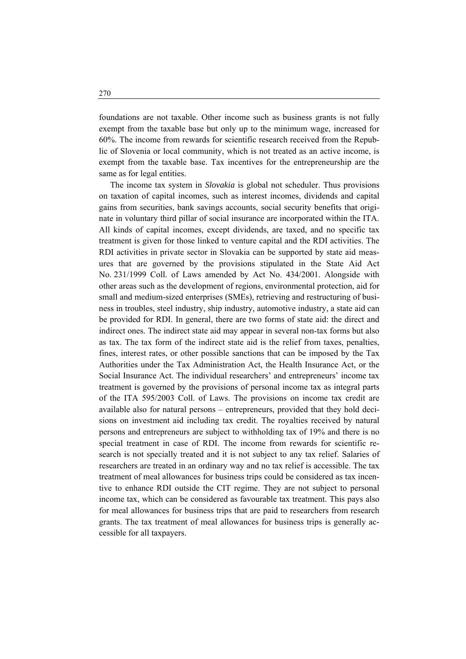foundations are not taxable. Other income such as business grants is not fully exempt from the taxable base but only up to the minimum wage, increased for 60%. The income from rewards for scientific research received from the Republic of Slovenia or local community, which is not treated as an active income, is exempt from the taxable base. Tax incentives for the entrepreneurship are the same as for legal entities.

 The income tax system in *Slovakia* is global not scheduler. Thus provisions on taxation of capital incomes, such as interest incomes, dividends and capital gains from securities, bank savings accounts, social security benefits that originate in voluntary third pillar of social insurance are incorporated within the ITA. All kinds of capital incomes, except dividends, are taxed, and no specific tax treatment is given for those linked to venture capital and the RDI activities. The RDI activities in private sector in Slovakia can be supported by state aid measures that are governed by the provisions stipulated in the State Aid Act No. 231/1999 Coll. of Laws amended by Act No. 434/2001. Alongside with other areas such as the development of regions, environmental protection, aid for small and medium-sized enterprises (SMEs), retrieving and restructuring of business in troubles, steel industry, ship industry, automotive industry, a state aid can be provided for RDI. In general, there are two forms of state aid: the direct and indirect ones. The indirect state aid may appear in several non-tax forms but also as tax. The tax form of the indirect state aid is the relief from taxes, penalties, fines, interest rates, or other possible sanctions that can be imposed by the Tax Authorities under the Tax Administration Act, the Health Insurance Act, or the Social Insurance Act. The individual researchers' and entrepreneurs' income tax treatment is governed by the provisions of personal income tax as integral parts of the ITA 595/2003 Coll. of Laws. The provisions on income tax credit are available also for natural persons – entrepreneurs, provided that they hold decisions on investment aid including tax credit. The royalties received by natural persons and entrepreneurs are subject to withholding tax of 19% and there is no special treatment in case of RDI. The income from rewards for scientific research is not specially treated and it is not subject to any tax relief. Salaries of researchers are treated in an ordinary way and no tax relief is accessible. The tax treatment of meal allowances for business trips could be considered as tax incentive to enhance RDI outside the CIT regime. They are not subject to personal income tax, which can be considered as favourable tax treatment. This pays also for meal allowances for business trips that are paid to researchers from research grants. The tax treatment of meal allowances for business trips is generally accessible for all taxpayers.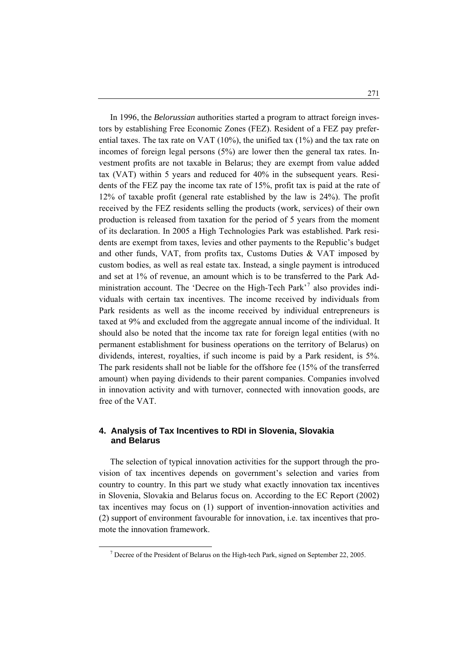In 1996, the *Belorussian* authorities started a program to attract foreign investors by establishing Free Economic Zones (FEZ). Resident of a FEZ pay preferential taxes. The tax rate on VAT (10%), the unified tax (1%) and the tax rate on incomes of foreign legal persons (5%) are lower then the general tax rates. Investment profits are not taxable in Belarus; they are exempt from value added tax (VAT) within 5 years and reduced for 40% in the subsequent years. Residents of the FEZ pay the income tax rate of 15%, profit tax is paid at the rate of 12% of taxable profit (general rate established by the law is 24%). The profit received by the FEZ residents selling the products (work, services) of their own production is released from taxation for the period of 5 years from the moment of its declaration. In 2005 a High Technologies Park was established. Park residents are exempt from taxes, levies and other payments to the Republic's budget and other funds, VAT, from profits tax, Customs Duties  $& VAT$  imposed by custom bodies, as well as real estate tax. Instead, a single payment is introduced and set at 1% of revenue, an amount which is to be transferred to the Park Ad-ministration account. The 'Decree on the High-Tech Park'<sup>[7](#page-8-0)</sup> also provides individuals with certain tax incentives. The income received by individuals from Park residents as well as the income received by individual entrepreneurs is taxed at 9% and excluded from the aggregate annual income of the individual. It should also be noted that the income tax rate for foreign legal entities (with no permanent establishment for business operations on the territory of Belarus) on dividends, interest, royalties, if such income is paid by a Park resident, is 5%. The park residents shall not be liable for the offshore fee (15% of the transferred amount) when paying dividends to their parent companies. Companies involved in innovation activity and with turnover, connected with innovation goods, are free of the VAT.

## **4. Analysis of Tax Incentives to RDI in Slovenia, Slovakia and Belarus**

 The selection of typical innovation activities for the support through the provision of tax incentives depends on government's selection and varies from country to country. In this part we study what exactly innovation tax incentives in Slovenia, Slovakia and Belarus focus on. According to the EC Report (2002) tax incentives may focus on (1) support of invention-innovation activities and (2) support of environment favourable for innovation, i.e. tax incentives that promote the innovation framework.

<span id="page-8-0"></span> <sup>7</sup>  $^7$  Decree of the President of Belarus on the High-tech Park, signed on September 22, 2005.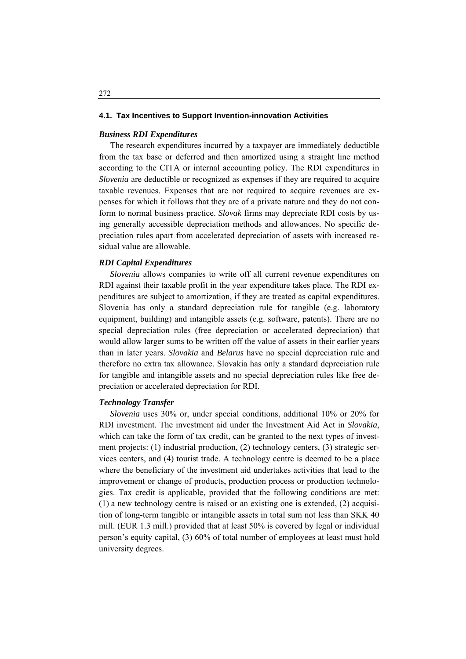#### **4.1. Tax Incentives to Support Invention-innovation Activities**

## *Business RDI Expenditures*

 The research expenditures incurred by a taxpayer are immediately deductible from the tax base or deferred and then amortized using a straight line method according to the CITA or internal accounting policy. The RDI expenditures in *Slovenia* are deductible or recognized as expenses if they are required to acquire taxable revenues. Expenses that are not required to acquire revenues are expenses for which it follows that they are of a private nature and they do not conform to normal business practice. *Slovak* firms may depreciate RDI costs by using generally accessible depreciation methods and allowances. No specific depreciation rules apart from accelerated depreciation of assets with increased residual value are allowable.

### *RDI Capital Expenditures*

 *Slovenia* allows companies to write off all current revenue expenditures on RDI against their taxable profit in the year expenditure takes place. The RDI expenditures are subject to amortization, if they are treated as capital expenditures. Slovenia has only a standard depreciation rule for tangible (e.g. laboratory equipment, building) and intangible assets (e.g. software, patents). There are no special depreciation rules (free depreciation or accelerated depreciation) that would allow larger sums to be written off the value of assets in their earlier years than in later years. *Slovakia* and *Belarus* have no special depreciation rule and therefore no extra tax allowance. Slovakia has only a standard depreciation rule for tangible and intangible assets and no special depreciation rules like free depreciation or accelerated depreciation for RDI.

### *Technology Transfer*

 *Slovenia* uses 30% or, under special conditions, additional 10% or 20% for RDI investment. The investment aid under the Investment Aid Act in *Slovakia*, which can take the form of tax credit, can be granted to the next types of investment projects: (1) industrial production, (2) technology centers, (3) strategic services centers, and (4) tourist trade. A technology centre is deemed to be a place where the beneficiary of the investment aid undertakes activities that lead to the improvement or change of products, production process or production technologies. Tax credit is applicable, provided that the following conditions are met: (1) a new technology centre is raised or an existing one is extended, (2) acquisition of long-term tangible or intangible assets in total sum not less than SKK 40 mill. (EUR 1.3 mill.) provided that at least 50% is covered by legal or individual person's equity capital, (3) 60% of total number of employees at least must hold university degrees.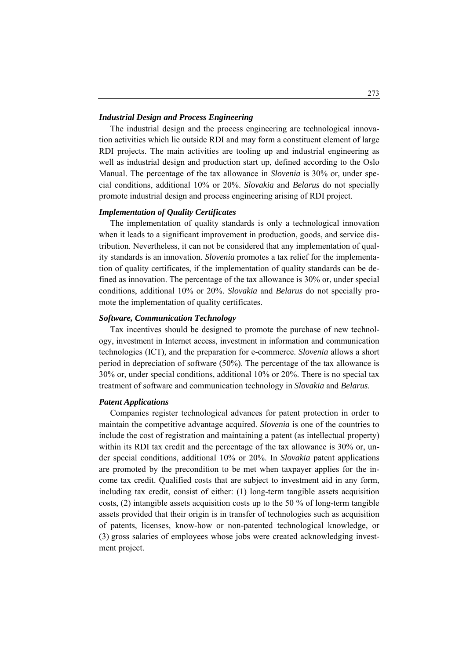### *Industrial Design and Process Engineering*

 The industrial design and the process engineering are technological innovation activities which lie outside RDI and may form a constituent element of large RDI projects. The main activities are tooling up and industrial engineering as well as industrial design and production start up, defined according to the Oslo Manual. The percentage of the tax allowance in *Slovenia* is 30% or, under special conditions, additional 10% or 20%. *Slovakia* and *Belarus* do not specially promote industrial design and process engineering arising of RDI project.

#### *Implementation of Quality Certificates*

 The implementation of quality standards is only a technological innovation when it leads to a significant improvement in production, goods, and service distribution. Nevertheless, it can not be considered that any implementation of quality standards is an innovation. *Slovenia* promotes a tax relief for the implementation of quality certificates, if the implementation of quality standards can be defined as innovation. The percentage of the tax allowance is 30% or, under special conditions, additional 10% or 20%. *Slovakia* and *Belarus* do not specially promote the implementation of quality certificates.

#### *Software, Communication Technology*

 Tax incentives should be designed to promote the purchase of new technology, investment in Internet access, investment in information and communication technologies (ICT)*,* and the preparation for e-commerce. *Slovenia* allows a short period in depreciation of software (50%). The percentage of the tax allowance is 30% or, under special conditions, additional 10% or 20%. There is no special tax treatment of software and communication technology in *Slovakia* and *Belarus*.

#### *Patent Applications*

 Companies register technological advances for patent protection in order to maintain the competitive advantage acquired. *Slovenia* is one of the countries to include the cost of registration and maintaining a patent (as intellectual property) within its RDI tax credit and the percentage of the tax allowance is 30% or, under special conditions, additional 10% or 20%. In *Slovakia* patent applications are promoted by the precondition to be met when taxpayer applies for the income tax credit. Qualified costs that are subject to investment aid in any form, including tax credit, consist of either: (1) long-term tangible assets acquisition costs,  $(2)$  intangible assets acquisition costs up to the 50 % of long-term tangible assets provided that their origin is in transfer of technologies such as acquisition of patents, licenses, know-how or non-patented technological knowledge, or (3) gross salaries of employees whose jobs were created acknowledging investment project.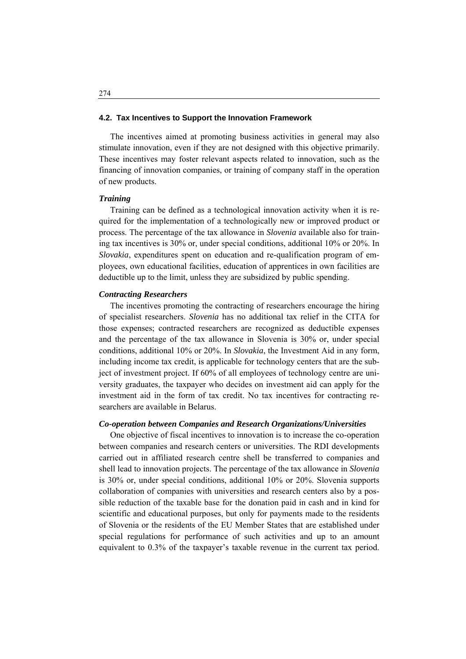#### **4.2. Tax Incentives to Support the Innovation Framework**

 The incentives aimed at promoting business activities in general may also stimulate innovation, even if they are not designed with this objective primarily. These incentives may foster relevant aspects related to innovation, such as the financing of innovation companies, or training of company staff in the operation of new products.

#### *Training*

 Training can be defined as a technological innovation activity when it is required for the implementation of a technologically new or improved product or process. The percentage of the tax allowance in *Slovenia* available also for training tax incentives is 30% or, under special conditions, additional 10% or 20%. In *Slovakia*, expenditures spent on education and re-qualification program of employees, own educational facilities, education of apprentices in own facilities are deductible up to the limit, unless they are subsidized by public spending.

### *Contracting Researchers*

 The incentives promoting the contracting of researchers encourage the hiring of specialist researchers. *Slovenia* has no additional tax relief in the CITA for those expenses; contracted researchers are recognized as deductible expenses and the percentage of the tax allowance in Slovenia is 30% or, under special conditions, additional 10% or 20%. In *Slovakia*, the Investment Aid in any form, including income tax credit, is applicable for technology centers that are the subject of investment project. If 60% of all employees of technology centre are university graduates, the taxpayer who decides on investment aid can apply for the investment aid in the form of tax credit. No tax incentives for contracting researchers are available in Belarus.

### *Co-operation between Companies and Research Organizations/Universities*

 One objective of fiscal incentives to innovation is to increase the co-operation between companies and research centers or universities. The RDI developments carried out in affiliated research centre shell be transferred to companies and shell lead to innovation projects. The percentage of the tax allowance in *Slovenia* is 30% or, under special conditions, additional 10% or 20%. Slovenia supports collaboration of companies with universities and research centers also by a possible reduction of the taxable base for the donation paid in cash and in kind for scientific and educational purposes, but only for payments made to the residents of Slovenia or the residents of the EU Member States that are established under special regulations for performance of such activities and up to an amount equivalent to 0.3% of the taxpayer's taxable revenue in the current tax period.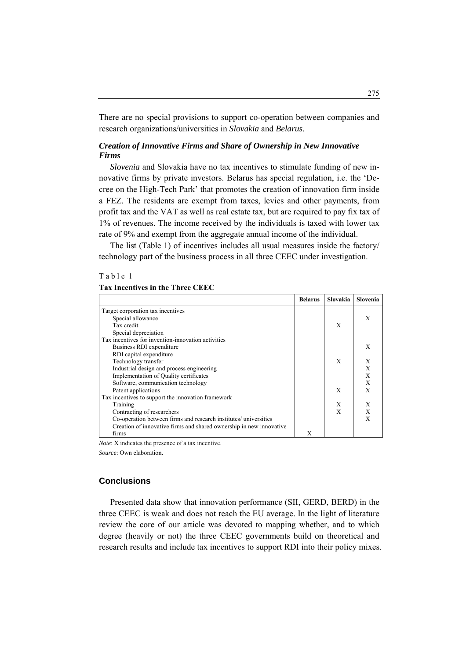There are no special provisions to support co-operation between companies and research organizations/universities in *Slovakia* and *Belarus*.

## *Creation of Innovative Firms and Share of Ownership in New Innovative Firms*

 *Slovenia* and Slovakia have no tax incentives to stimulate funding of new innovative firms by private investors. Belarus has special regulation, i.e. the 'Decree on the High-Tech Park' that promotes the creation of innovation firm inside a FEZ. The residents are exempt from taxes, levies and other payments, from profit tax and the VAT as well as real estate tax, but are required to pay fix tax of 1% of revenues. The income received by the individuals is taxed with lower tax rate of 9% and exempt from the aggregate annual income of the individual.

 The list (Table 1) of incentives includes all usual measures inside the factory/ technology part of the business process in all three CEEC under investigation.

#### Table 1

## **Tax Incentives in the Three CEEC**

|                                                                     | <b>Belarus</b> | <b>Slovakia</b> | Slovenia |
|---------------------------------------------------------------------|----------------|-----------------|----------|
| Target corporation tax incentives                                   |                |                 |          |
| Special allowance                                                   |                |                 | X        |
| Tax credit                                                          |                | X               |          |
| Special depreciation                                                |                |                 |          |
| Tax incentives for invention-innovation activities                  |                |                 |          |
| Business RDI expenditure                                            |                |                 | X        |
| RDI capital expenditure                                             |                |                 |          |
| Technology transfer                                                 |                | X               | X        |
| Industrial design and process engineering                           |                |                 | X        |
| Implementation of Quality certificates                              |                |                 | X        |
| Software, communication technology                                  |                |                 | X        |
| Patent applications                                                 |                | X               | X        |
| Tax incentives to support the innovation framework                  |                |                 |          |
| Training                                                            |                | X               | X        |
| Contracting of researchers                                          |                | $\mathbf{x}$    | X        |
| Co-operation between firms and research institutes/ universities    |                |                 | X        |
| Creation of innovative firms and shared ownership in new innovative |                |                 |          |
| firms                                                               | X              |                 |          |

*Note*: X indicates the presence of a tax incentive.

*Source*: Own elaboration.

### **Conclusions**

 Presented data show that innovation performance (SII, GERD, BERD) in the three CEEC is weak and does not reach the EU average. In the light of literature review the core of our article was devoted to mapping whether, and to which degree (heavily or not) the three CEEC governments build on theoretical and research results and include tax incentives to support RDI into their policy mixes.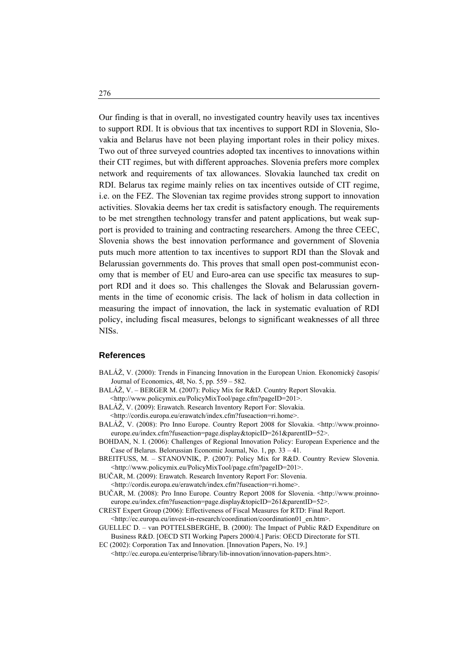Our finding is that in overall, no investigated country heavily uses tax incentives to support RDI. It is obvious that tax incentives to support RDI in Slovenia, Slovakia and Belarus have not been playing important roles in their policy mixes. Two out of three surveyed countries adopted tax incentives to innovations within their CIT regimes, but with different approaches. Slovenia prefers more complex network and requirements of tax allowances. Slovakia launched tax credit on RDI. Belarus tax regime mainly relies on tax incentives outside of CIT regime, i.e. on the FEZ. The Slovenian tax regime provides strong support to innovation activities. Slovakia deems her tax credit is satisfactory enough. The requirements to be met strengthen technology transfer and patent applications, but weak support is provided to training and contracting researchers. Among the three CEEC, Slovenia shows the best innovation performance and government of Slovenia puts much more attention to tax incentives to support RDI than the Slovak and Belarussian governments do. This proves that small open post-communist economy that is member of EU and Euro-area can use specific tax measures to support RDI and it does so. This challenges the Slovak and Belarussian governments in the time of economic crisis. The lack of holism in data collection in measuring the impact of innovation, the lack in systematic evaluation of RDI policy, including fiscal measures, belongs to significant weaknesses of all three NISs.

### **References**

- BALÁŽ, V. (2000): Trends in Financing Innovation in the European Union. Ekonomický časopis/ Journal of Economics, *48*, No. 5, pp. 559 – 582.
- BALÁŽ, V. BERGER M. (2007): Policy Mix for R&D. Country Report Slovakia.

<http://www.policymix.eu/PolicyMixTool/page.cfm?pageID=201>.

BALÁŽ, V. (2009): Erawatch. Research Inventory Report For: Slovakia.

<http://cordis.europa.eu/erawatch/index.cfm?fuseaction=ri.home>.

BALÁŽ, V. (2008): Pro Inno Europe. Country Report 2008 for Slovakia. <http://www.proinnoeurope.eu/index.cfm?fuseaction=page.display&topicID=261&parentID=52>.

BOHDAN, N. I. (2006): Challenges of Regional Innovation Policy: European Experience and the Case of Belarus. Belorussian Economic Journal, No. 1, pp. 33 – 41.

BREITFUSS, M. – STANOVNIK, P. (2007): Policy Mix for R&D. Country Review Slovenia. <[http://www.policymix.eu/PolicyMixTool/page.cfm?pageID=201>](http://www.policymix.eu/PolicyMixTool/page.cfm?pageID=201).

BUČAR, M. (2009): Erawatch. Research Inventory Report For: Slovenia.

- <http://cordis.europa.eu/erawatch/index.cfm?fuseaction=ri.home>.
- BUČAR, M. (2008): Pro Inno Europe. Country Report 2008 for Slovenia. <http://www.proinnoeurope.eu/index.cfm?fuseaction=page.display&topicID=261&parentID=52>.
- CREST Expert Group (2006): Effectiveness of Fiscal Measures for RTD: [Final Report.](http://ec.europa.eu/invest-in-research/pdf/download_en/final_report_060306.pdf) <[http://ec.europa.eu/invest-in-research/coordination/coordination01\\_en.htm>](http://ec.europa.eu/invest-in-research/coordination/coordination01_en.htm).
- GUELLEC D. van POTTELSBERGHE, B. (2000): The Impact of Public R&D Expenditure on Business R&D. [\[OECD STI Working Papers](http://ideas.repec.org/s/oec/stiaaa.html) 2000/4.] Paris: OECD Directorate for STI.

EC (2002): Corporation Tax and Innovation. [Innovation Papers, No. 19.] <[http://ec.europa.eu/enterprise/library/lib-innovation/innovation-papers.htm>](http://ec.europa.eu/enterprise/library/lib-innovation/innovation-papers.htm).